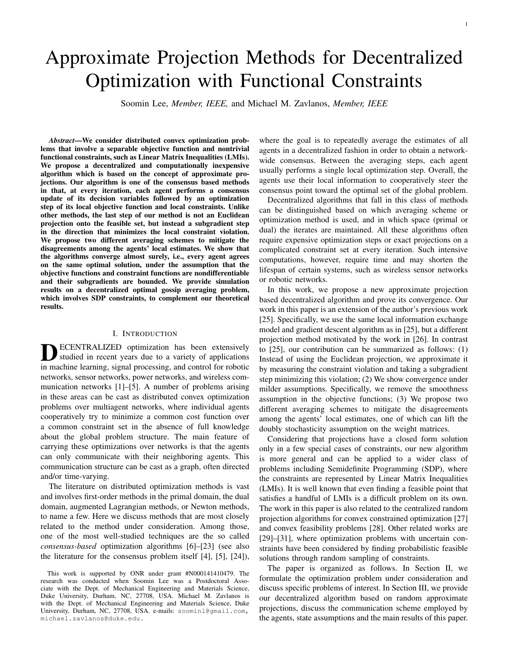# Approximate Projection Methods for Decentralized Optimization with Functional Constraints

Soomin Lee, *Member, IEEE,* and Michael M. Zavlanos, *Member, IEEE*

*Abstract*—We consider distributed convex optimization problems that involve a separable objective function and nontrivial functional constraints, such as Linear Matrix Inequalities (LMIs). We propose a decentralized and computationally inexpensive algorithm which is based on the concept of approximate projections. Our algorithm is one of the consensus based methods in that, at every iteration, each agent performs a consensus update of its decision variables followed by an optimization step of its local objective function and local constraints. Unlike other methods, the last step of our method is not an Euclidean projection onto the feasible set, but instead a subgradient step in the direction that minimizes the local constraint violation. We propose two different averaging schemes to mitigate the disagreements among the agents' local estimates. We show that the algorithms converge almost surely, i.e., every agent agrees on the same optimal solution, under the assumption that the objective functions and constraint functions are nondifferentiable and their subgradients are bounded. We provide simulation results on a decentralized optimal gossip averaging problem, which involves SDP constraints, to complement our theoretical results.

# I. INTRODUCTION

**DECENTRALIZED** optimization has been extensively studied in recent years due to a variety of applications in machine learning, signal processing, and control for robotic ECENTRALIZED optimization has been extensively studied in recent years due to a variety of applications networks, sensor networks, power networks, and wireless communication networks [1]–[5]. A number of problems arising in these areas can be cast as distributed convex optimization problems over multiagent networks, where individual agents cooperatively try to minimize a common cost function over a common constraint set in the absence of full knowledge about the global problem structure. The main feature of carrying these optimizations over networks is that the agents can only communicate with their neighboring agents. This communication structure can be cast as a graph, often directed and/or time-varying.

The literature on distributed optimization methods is vast and involves first-order methods in the primal domain, the dual domain, augmented Lagrangian methods, or Newton methods, to name a few. Here we discuss methods that are most closely related to the method under consideration. Among those, one of the most well-studied techniques are the so called *consensus-based* optimization algorithms [6]–[23] (see also the literature for the consensus problem itself [4], [5], [24]),

where the goal is to repeatedly average the estimates of all agents in a decentralized fashion in order to obtain a networkwide consensus. Between the averaging steps, each agent usually performs a single local optimization step. Overall, the agents use their local information to cooperatively steer the consensus point toward the optimal set of the global problem.

Decentralized algorithms that fall in this class of methods can be distinguished based on which averaging scheme or optimization method is used, and in which space (primal or dual) the iterates are maintained. All these algorithms often require expensive optimization steps or exact projections on a complicated constraint set at every iteration. Such intensive computations, however, require time and may shorten the lifespan of certain systems, such as wireless sensor networks or robotic networks.

In this work, we propose a new approximate projection based decentralized algorithm and prove its convergence. Our work in this paper is an extension of the author's previous work [25]. Specifically, we use the same local information exchange model and gradient descent algorithm as in [25], but a different projection method motivated by the work in [26]. In contrast to [25], our contribution can be summarized as follows: (1) Instead of using the Euclidean projection, we approximate it by measuring the constraint violation and taking a subgradient step minimizing this violation; (2) We show convergence under milder assumptions. Specifically, we remove the smoothness assumption in the objective functions; (3) We propose two different averaging schemes to mitigate the disagreements among the agents' local estimates, one of which can lift the doubly stochasticity assumption on the weight matrices.

Considering that projections have a closed form solution only in a few special cases of constraints, our new algorithm is more general and can be applied to a wider class of problems including Semidefinite Programming (SDP), where the constraints are represented by Linear Matrix Inequalities (LMIs). It is well known that even finding a feasible point that satisfies a handful of LMIs is a difficult problem on its own. The work in this paper is also related to the centralized random projection algorithms for convex constrained optimization [27] and convex feasibility problems [28]. Other related works are [29]–[31], where optimization problems with uncertain constraints have been considered by finding probabilistic feasible solutions through random sampling of constraints.

The paper is organized as follows. In Section II, we formulate the optimization problem under consideration and discuss specific problems of interest. In Section III, we provide our decentralized algorithm based on random approximate projections, discuss the communication scheme employed by the agents, state assumptions and the main results of this paper.

This work is supported by ONR under grant #N000141410479. The research was conducted when Soomin Lee was a Postdoctoral Associate with the Dept. of Mechanical Engineering and Materials Science, Duke University, Durham, NC, 27708, USA. Michael M. Zavlanos is with the Dept. of Mechanical Engineering and Materials Science, Duke University, Durham, NC, 27708, USA. e-mails: soominl@gmail.com, michael.zavlanos@duke.edu.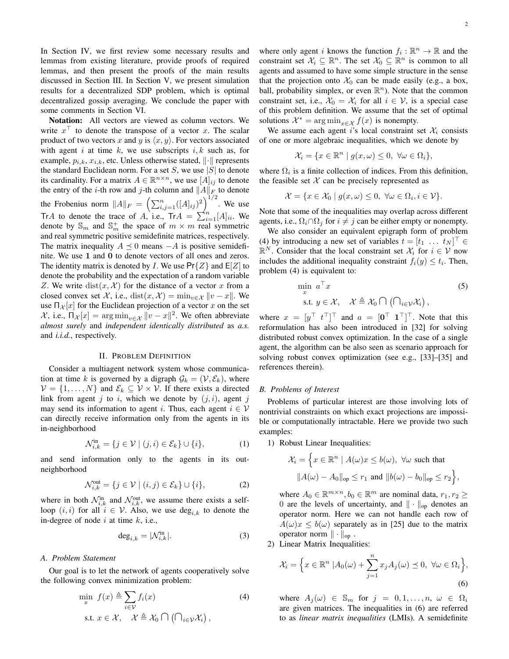In Section IV, we first review some necessary results and lemmas from existing literature, provide proofs of required lemmas, and then present the proofs of the main results discussed in Section III. In Section V, we present simulation results for a decentralized SDP problem, which is optimal decentralized gossip averaging. We conclude the paper with some comments in Section VI.

Notation: All vectors are viewed as column vectors. We write  $x^{\top}$  to denote the transpose of a vector x. The scalar product of two vectors x and y is  $\langle x, y \rangle$ . For vectors associated with agent i at time  $k$ , we use subscripts  $i, k$  such as, for example,  $p_{i,k}$ ,  $x_{i,k}$ , etc. Unless otherwise stated,  $\|\cdot\|$  represents the standard Euclidean norm. For a set  $S$ , we use  $|S|$  to denote its cardinality. For a matrix  $A \in \mathbb{R}^{n \times n}$ , we use  $[A]_{ij}$  to denote the entry of the *i*-th row and *j*-th column and  $||A||_F$  to denote the Frobenius norm  $||A||_F = \left(\sum_{i,j=1}^n ([A]_{ij})^2\right)^{1/2}$ . We use TrA to denote the trace of A, i.e.,  $Tr A = \sum_{i=1}^{n} [A]_{ii}$ . We denote by  $\mathbb{S}_m$  and  $\mathbb{S}_m^+$  the space of  $m \times m$  real symmetric and real symmetric positive semidefinite matrices, respectively. The matrix inequality  $A \preceq 0$  means  $-A$  is positive semidefinite. We use 1 and 0 to denote vectors of all ones and zeros. The identity matrix is denoted by I. We use  $Pr{Z}$  and  $E[Z]$  to denote the probability and the expectation of a random variable Z. We write  $dist(x, \mathcal{X})$  for the distance of a vector x from a closed convex set X, i.e., dist $(x, \mathcal{X}) = \min_{v \in \mathcal{X}} ||v - x||$ . We use  $\prod_{\mathcal{X}} [x]$  for the Euclidean projection of a vector x on the set  $x$ , i.e., Π<sub> $x$ </sub>[ $x$ ] = arg min<sub>v∈  $x$ </sub> ||v −  $x$ ||<sup>2</sup>. We often abbreviate *almost surely* and *independent identically distributed* as *a.s.* and *i.i.d.*, respectively.

## II. PROBLEM DEFINITION

Consider a multiagent network system whose communication at time k is governed by a digraph  $\mathcal{G}_k = (\mathcal{V}, \mathcal{E}_k)$ , where  $V = \{1, \ldots, N\}$  and  $\mathcal{E}_k \subseteq V \times V$ . If there exists a directed link from agent j to i, which we denote by  $(j, i)$ , agent j may send its information to agent i. Thus, each agent  $i \in V$ can directly receive information only from the agents in its in-neighborhood

$$
\mathcal{N}_{i,k}^{\text{in}} = \{ j \in \mathcal{V} \mid (j,i) \in \mathcal{E}_k \} \cup \{ i \},\tag{1}
$$

and send information only to the agents in its outneighborhood

$$
\mathcal{N}_{i,k}^{\text{out}} = \{ j \in \mathcal{V} \mid (i,j) \in \mathcal{E}_k \} \cup \{ i \},\tag{2}
$$

where in both  $\mathcal{N}_{i,k}^{\text{in}}$  and  $\mathcal{N}_{i,k}^{\text{out}}$ , we assume there exists a selfloop  $(i, i)$  for all  $i \in V$ . Also, we use  $\deg_{i,k}$  to denote the in-degree of node  $i$  at time  $k$ , i.e.,

$$
\deg_{i,k} = |\mathcal{N}_{i,k}^{\text{in}}|.\tag{3}
$$

# *A. Problem Statement*

Our goal is to let the network of agents cooperatively solve the following convex minimization problem:

$$
\min_{x} f(x) \triangleq \sum_{i \in \mathcal{V}} f_i(x) \tag{4}
$$
\n
$$
\text{s.t. } x \in \mathcal{X}, \quad \mathcal{X} \triangleq \mathcal{X}_0 \cap (\bigcap_{i \in \mathcal{V}} \mathcal{X}_i),
$$

where only agent i knows the function  $f_i : \mathbb{R}^n \to \mathbb{R}$  and the constraint set  $X_i \subseteq \mathbb{R}^n$ . The set  $X_0 \subseteq \mathbb{R}^n$  is common to all agents and assumed to have some simple structure in the sense that the projection onto  $\mathcal{X}_0$  can be made easily (e.g., a box, ball, probability simplex, or even  $\mathbb{R}^n$ ). Note that the common constraint set, i.e.,  $\mathcal{X}_0 = \mathcal{X}_i$  for all  $i \in \mathcal{V}$ , is a special case of this problem definition. We assume that the set of optimal solutions  $\mathcal{X}^* = \arg \min_{x \in \mathcal{X}} f(x)$  is nonempty.

We assume each agent i's local constraint set  $\mathcal{X}_i$  consists of one or more algebraic inequalities, which we denote by

$$
\mathcal{X}_i = \{ x \in \mathbb{R}^n \mid g(x,\omega) \le 0, \ \forall \omega \in \Omega_i \},
$$

where  $\Omega_i$  is a finite collection of indices. From this definition, the feasible set  $X$  can be precisely represented as

$$
\mathcal{X} = \{ x \in \mathcal{X}_0 \mid g(x, \omega) \leq 0, \ \forall \omega \in \Omega_i, i \in \mathcal{V} \}.
$$

Note that some of the inequalities may overlap across different agents, i.e.,  $\Omega_i \cap \Omega_j$  for  $i \neq j$  can be either empty or nonempty.

We also consider an equivalent epigraph form of problem (4) by introducing a new set of variables  $t = [t_1 \dots t_N]^\top \in$  $\mathbb{R}^N$ . Consider that the local constraint set  $\mathcal{X}_i$  for  $i \in \mathcal{V}$  now includes the additional inequality constraint  $f_i(y) \leq t_i$ . Then, problem (4) is equivalent to:

$$
\min_{x} a^{\top} x
$$
  
s.t.  $y \in \mathcal{X}, \quad \mathcal{X} \triangleq \mathcal{X}_0 \cap (\bigcap_{i \in \mathcal{V}} \mathcal{X}_i),$  (5)

where  $x = [y^\top t^\top]^\top$  and  $a = [0^\top 1^\top]^\top$ . Note that this reformulation has also been introduced in [32] for solving distributed robust convex optimization. In the case of a single agent, the algorithm can be also seen as scenario approach for solving robust convex optimization (see e.g., [33]–[35] and references therein).

## *B. Problems of Interest*

Problems of particular interest are those involving lots of nontrivial constraints on which exact projections are impossible or computationally intractable. Here we provide two such examples:

1) Robust Linear Inequalities:

$$
\mathcal{X}_i = \left\{ x \in \mathbb{R}^n \mid A(\omega)x \le b(\omega), \ \forall \omega \ \text{such that} \right\}
$$

$$
\|A(\omega) - A_0\|_{\text{op}} \le r_1 \text{ and } \|b(\omega) - b_0\|_{\text{op}} \le r_2 \right\},\
$$

where  $A_0 \in \mathbb{R}^{m \times n}$ ,  $b_0 \in \mathbb{R}^m$  are nominal data,  $r_1, r_2 \geq$ 0 are the levels of uncertainty, and  $\|\cdot\|_{op}$  denotes an operator norm. Here we can not handle each row of  $A(\omega)x \leq b(\omega)$  separately as in [25] due to the matrix operator norm  $\|\cdot\|_{op}$ .

2) Linear Matrix Inequalities:

$$
\mathcal{X}_i = \left\{ x \in \mathbb{R}^n \; |A_0(\omega) + \sum_{j=1}^n x_j A_j(\omega) \preceq 0, \; \forall \omega \in \Omega_i \right\},\tag{6}
$$

where  $A_j(\omega) \in \mathbb{S}_m$  for  $j = 0, 1, \ldots, n, \omega \in \Omega_i$ are given matrices. The inequalities in (6) are referred to as *linear matrix inequalities* (LMIs). A semidefinite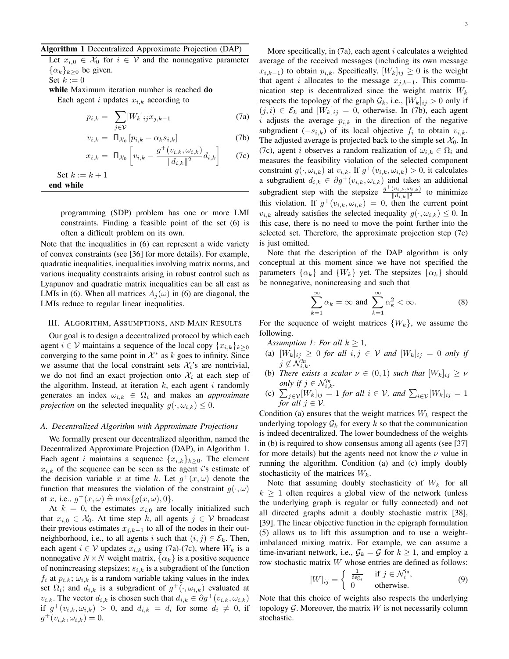# Algorithm 1 Decentralized Approximate Projection (DAP)

Let  $x_{i,0} \in \mathcal{X}_0$  for  $i \in \mathcal{V}$  and the nonnegative parameter  $\{\alpha_k\}_{k\geq 0}$  be given.

Set  $k := 0$ 

while Maximum iteration number is reached do

Each agent i updates  $x_{i,k}$  according to

$$
p_{i,k} = \sum_{j \in \mathcal{V}} [W_k]_{ij} x_{j,k-1} \tag{7a}
$$

$$
v_{i,k} = \Pi_{\mathcal{X}_0} \left[ p_{i,k} - \alpha_k s_{i,k} \right] \tag{7b}
$$

$$
x_{i,k} = \Pi_{\mathcal{X}_0} \left[ v_{i,k} - \frac{g^+(v_{i,k}, \omega_{i,k})}{\|d_{i,k}\|^2} d_{i,k} \right]
$$
 (7c)

Set 
$$
k := k + 1
$$
  
end while

programming (SDP) problem has one or more LMI constraints. Finding a feasible point of the set (6) is often a difficult problem on its own.

Note that the inequalities in (6) can represent a wide variety of convex constraints (see [36] for more details). For example, quadratic inequalities, inequalities involving matrix norms, and various inequality constraints arising in robust control such as Lyapunov and quadratic matrix inequalities can be all cast as LMIs in (6). When all matrices  $A_i(\omega)$  in (6) are diagonal, the LMIs reduce to regular linear inequalities.

# III. ALGORITHM, ASSUMPTIONS, AND MAIN RESULTS

Our goal is to design a decentralized protocol by which each agent  $i \in V$  maintains a sequence of the local copy  $\{x_{i,k}\}_{k\geq 0}$ converging to the same point in  $\mathcal{X}^*$  as  $k$  goes to infinity. Since we assume that the local constraint sets  $\mathcal{X}_i$ 's are nontrivial, we do not find an exact projection onto  $\mathcal{X}_i$  at each step of the algorithm. Instead, at iteration  $k$ , each agent i randomly generates an index  $\omega_{i,k} \in \Omega_i$  and makes an *approximate projection* on the selected inequality  $g(\cdot, \omega_{i,k}) \leq 0$ .

# *A. Decentralized Algorithm with Approximate Projections*

We formally present our decentralized algorithm, named the Decentralized Approximate Projection (DAP), in Algorithm 1. Each agent *i* maintains a sequence  $\{x_{i,k}\}_{k\geq 0}$ . The element  $x_{i,k}$  of the sequence can be seen as the agent i's estimate of the decision variable x at time k. Let  $g^+(x,\omega)$  denote the function that measures the violation of the constraint  $g(\cdot, \omega)$ at x, i.e.,  $g^+(x,\omega) \triangleq \max\{g(x,\omega),0\}.$ 

At  $k = 0$ , the estimates  $x_{i,0}$  are locally initialized such that  $x_{i,0} \in \mathcal{X}_0$ . At time step k, all agents  $j \in \mathcal{V}$  broadcast their previous estimates  $x_{i,k-1}$  to all of the nodes in their outneighborhood, i.e., to all agents i such that  $(i, j) \in \mathcal{E}_k$ . Then, each agent  $i \in V$  updates  $x_{i,k}$  using (7a)-(7c), where  $W_k$  is a nonnegative  $N \times N$  weight matrix,  $\{\alpha_k\}$  is a positive sequence of nonincreasing stepsizes;  $s_{i,k}$  is a subgradient of the function  $f_i$  at  $p_{i,k}$ ;  $\omega_{i,k}$  is a random variable taking values in the index set  $\Omega_i$ ; and  $d_{i,k}$  is a subgradient of  $g^+(\cdot,\omega_{i,k})$  evaluated at  $v_{i,k}$ . The vector  $d_{i,k}$  is chosen such that  $d_{i,k} \in \partial g^+(v_{i,k}, \omega_{i,k})$ if  $g^+(v_{i,k}, \omega_{i,k}) > 0$ , and  $d_{i,k} = d_i$  for some  $d_i \neq 0$ , if  $g^+(v_{i,k}, \omega_{i,k}) = 0.$ 

More specifically, in  $(7a)$ , each agent *i* calculates a weighted average of the received messages (including its own message  $x_{i,k-1}$ ) to obtain  $p_{i,k}$ . Specifically,  $[W_k]_{ij} \geq 0$  is the weight that agent i allocates to the message  $x_{j,k-1}$ . This communication step is decentralized since the weight matrix  $W_k$ respects the topology of the graph  $\mathcal{G}_k$ , i.e.,  $[W_k]_{ij} > 0$  only if  $(j, i) \in \mathcal{E}_k$  and  $[W_k]_{ij} = 0$ , otherwise. In (7b), each agent i adjusts the average  $p_{i,k}$  in the direction of the negative subgradient  $(-s_{i,k})$  of its local objective  $f_i$  to obtain  $v_{i,k}$ . The adjusted average is projected back to the simple set  $\mathcal{X}_0$ . In (7c), agent i observes a random realization of  $\omega_{i,k} \in \Omega_i$  and measures the feasibility violation of the selected component constraint  $g(\cdot, \omega_{i,k})$  at  $v_{i,k}$ . If  $g^+(v_{i,k}, \omega_{i,k}) > 0$ , it calculates a subgradient  $d_{i,k} \in \partial g^+(v_{i,k}, \omega_{i,k})$  and takes an additional subgradient step with the stepsize  $\frac{g^+(v_{i,k},\omega_{i,k})}{\|d_{i,k}\|^2}$  to minimize this violation. If  $g^+(v_{i,k}, \omega_{i,k}) = 0$ , then the current point  $v_{i,k}$  already satisfies the selected inequality  $g(\cdot, \omega_{i,k}) \leq 0$ . In this case, there is no need to move the point further into the selected set. Therefore, the approximate projection step (7c) is just omitted.

Note that the description of the DAP algorithm is only conceptual at this moment since we have not specified the parameters  $\{\alpha_k\}$  and  $\{W_k\}$  yet. The stepsizes  $\{\alpha_k\}$  should be nonnegative, nonincreasing and such that

$$
\sum_{k=1}^{\infty} \alpha_k = \infty \text{ and } \sum_{k=1}^{\infty} \alpha_k^2 < \infty. \tag{8}
$$

For the sequence of weight matrices  $\{W_k\}$ , we assume the following.

*Assumption 1: For all*  $k \geq 1$ *,* 

- (a)  $[W_k]_{ij} \geq 0$  *for all*  $i, j \in V$  *and*  $[W_k]_{ij} = 0$  *only if*  $j \notin \mathcal{N}_{i,k}^{in}$ .
- (b) *There exists a scalar*  $\nu \in (0,1)$  *such that*  $[W_k]_{ij} \geq \nu$ *only if*  $j \in \mathcal{N}_{i,k}^{in}$ .
- (c)  $\sum_{j \in \mathcal{V}} [W_k]_{ij} = 1$  *for all*  $i \in \mathcal{V}$ *, and*  $\sum_{i \in \mathcal{V}} [W_k]_{ij} = 1$ *for all*  $j \in V$ .

Condition (a) ensures that the weight matrices  $W_k$  respect the underlying topology  $\mathcal{G}_k$  for every k so that the communication is indeed decentralized. The lower boundedness of the weights in (b) is required to show consensus among all agents (see [37] for more details) but the agents need not know the  $\nu$  value in running the algorithm. Condition (a) and (c) imply doubly stochasticity of the matrices  $W_k$ .

Note that assuming doubly stochasticity of  $W_k$  for all  $k \geq 1$  often requires a global view of the network (unless the underlying graph is regular or fully connected) and not all directed graphs admit a doubly stochastic matrix [38], [39]. The linear objective function in the epigraph formulation (5) allows us to lift this assumption and to use a weightimbalanced mixing matrix. For example, we can assume a time-invariant network, i.e.,  $\mathcal{G}_k = \mathcal{G}$  for  $k \geq 1$ , and employ a row stochastic matrix W whose entries are defined as follows:

$$
[W]_{ij} = \begin{cases} \frac{1}{\deg_i} & \text{if } j \in \mathcal{N}_i^{\text{in}}, \\ 0 & \text{otherwise.} \end{cases}
$$
 (9)

Note that this choice of weights also respects the underlying topology  $G$ . Moreover, the matrix  $W$  is not necessarily column stochastic.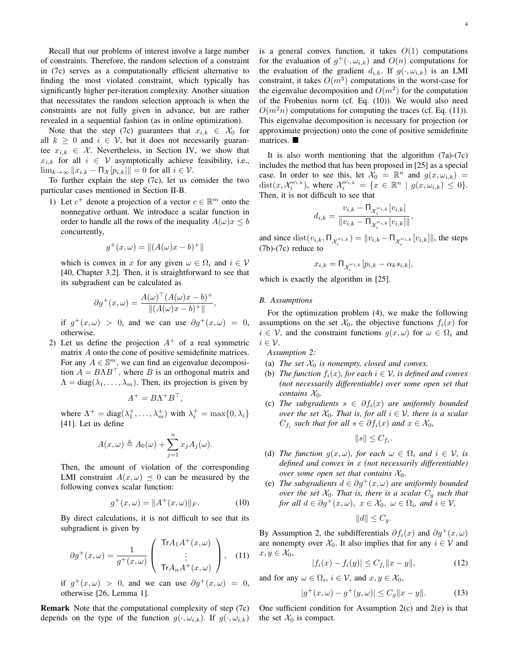Recall that our problems of interest involve a large number of constraints. Therefore, the random selection of a constraint in (7c) serves as a computationally efficient alternative to finding the most violated constraint, which typically has significantly higher per-iteration complexity. Another situation that necessitates the random selection approach is when the constraints are not fully given in advance, but are rather revealed in a sequential fashion (as in online optimization).

Note that the step (7c) guarantees that  $x_{i,k} \in \mathcal{X}_0$  for all  $k \geq 0$  and  $i \in V$ , but it does not necessarily guarantee  $x_{i,k} \in \mathcal{X}$ . Nevertheless, in Section IV, we show that  $x_{i,k}$  for all  $i \in V$  asymptotically achieve feasibility, i.e.,  $\lim_{k\to\infty} ||x_{i,k} - \Pi_{\mathcal{X}}[p_{i,k}]|| = 0$  for all  $i \in \mathcal{V}$ .

To further explain the step (7c), let us consider the two particular cases mentioned in Section II-B.

1) Let  $c^+$  denote a projection of a vector  $c \in \mathbb{R}^m$  onto the nonnegative orthant. We introduce a scalar function in order to handle all the rows of the inequality  $A(\omega)x \leq b$ concurrently,

$$
g^{+}(x,\omega) = ||(A(\omega)x - b)^{+}||
$$

which is convex in x for any given  $\omega \in \Omega_i$  and  $i \in \mathcal{V}$ [40, Chapter 3.2]. Then, it is straightforward to see that its subgradient can be calculated as

$$
\partial g^+(x,\omega) = \frac{A(\omega)^\top (A(\omega)x - b)^+}{\|(A(\omega)x - b)^+\|},
$$

if  $g^+(x,\omega) > 0$ , and we can use  $\partial g^+(x,\omega) = 0$ , otherwise.

2) Let us define the projection  $A^+$  of a real symmetric matrix A onto the cone of positive semidefinite matrices. For any  $A \in \mathbb{S}^m$ , we can find an eigenvalue decomposition  $A = B\Lambda B^{\top}$ , where B is an orthogonal matrix and  $\Lambda = \text{diag}(\lambda_1, \dots, \lambda_m)$ . Then, its projection is given by

$$
A^+ = B\Lambda^+ B^\top,
$$

where  $\Lambda^+ = \text{diag}(\lambda_1^+, \dots, \lambda_m^+)$  with  $\lambda_i^+ = \max\{0, \lambda_i\}$ [41]. Let us define

$$
A(x,\omega) \triangleq A_0(\omega) + \sum_{j=1}^n x_j A_j(\omega).
$$

Then, the amount of violation of the corresponding LMI constraint  $A(x, \omega) \preceq 0$  can be measured by the following convex scalar function:

$$
g^{+}(x,\omega) = \|A^{+}(x,\omega)\|_{F}.
$$
 (10)

By direct calculations, it is not difficult to see that its subgradient is given by

$$
\partial g^+(x,\omega) = \frac{1}{g^+(x,\omega)} \left( \begin{array}{c} \text{Tr}A_1 A^+(x,\omega) \\ \vdots \\ \text{Tr}A_n A^+(x,\omega) \end{array} \right), \quad (11)
$$

if  $g^+(x,\omega) > 0$ , and we can use  $\partial g^+(x,\omega) = 0$ , otherwise [26, Lemma 1].

Remark Note that the computational complexity of step (7c) depends on the type of the function  $g(\cdot, \omega_{i,k})$ . If  $g(\cdot, \omega_{i,k})$  is a general convex function, it takes  $O(1)$  computations for the evaluation of  $g^+(\cdot,\omega_{i,k})$  and  $O(n)$  computations for the evaluation of the gradient  $d_{i,k}$ . If  $g(\cdot, \omega_{i,k})$  is an LMI constraint, it takes  $O(m^3)$  computations in the worst-case for the eigenvalue decomposition and  $O(m^2)$  for the computation of the Frobenius norm (cf. Eq. (10)). We would also need  $O(m<sup>2</sup>n)$  computations for computing the traces (cf. Eq. (11)). This eigenvalue decomposition is necessary for projection (or

It is also worth mentioning that the algorithm  $(7a)-(7c)$ includes the method that has been proposed in [25] as a special case. In order to see this, let  $\mathcal{X}_0 = \mathbb{R}^n$  and  $g(x, \omega_{i,k}) =$ dist $(x, \mathcal{X}_i^{\omega_{i,k}})$ , where  $\mathcal{X}_i^{\omega_{i,k}} = \{x \in \mathbb{R}^n \mid g(x, \omega_{i,k}) \leq 0\}.$ Then, it is not difficult to see that

approximate projection) onto the cone of positive semidefinite

$$
d_{i,k} = \frac{v_{i,k} - \prod_{\chi_i^{\omega_{i,k}}}[v_{i,k}]}{\|v_{i,k} - \prod_{\chi_i^{\omega_{i,k}}}[v_{i,k}]\|}
$$

,

and since  $dist(v_{i,k}, \Pi_{\chi_i^{\omega_{i,k}}}) = ||v_{i,k} - \Pi_{\chi_i^{\omega_{i,k}}}[v_{i,k}]||$ , the steps  $(7b)-(7c)$  reduce to

$$
x_{i,k} = \prod_{\mathcal{X}_i^{\omega_{i,k}}}[p_{i,k} - \alpha_k s_{i,k}],
$$

which is exactly the algorithm in [25].

# *B. Assumptions*

matrices. ■

For the optimization problem (4), we make the following assumptions on the set  $\mathcal{X}_0$ , the objective functions  $f_i(x)$  for  $i \in \mathcal{V}$ , and the constraint functions  $g(x, \omega)$  for  $\omega \in \Omega_i$  and  $i \in \mathcal{V}$ .

#### *Assumption 2:*

- (a) *The set*  $\mathcal{X}_0$  *is nonempty, closed and convex.*
- (b) *The function*  $f_i(x)$ *, for each*  $i \in V$ *, is defined and convex (not necessarily differentiable) over some open set that contains*  $\mathcal{X}_0$ *.*
- (c) The subgradients  $s \in \partial f_i(x)$  are uniformly bounded *over the set*  $\mathcal{X}_0$ *. That is, for all*  $i \in \mathcal{V}$ *, there is a scalar*  $C_{f_i}$  such that for all  $s \in \partial f_i(x)$  and  $x \in \mathcal{X}_0$ ,

$$
||s|| \leq C_{f_i}
$$

.

- (d) *The function*  $g(x, \omega)$ *, for each*  $\omega \in \Omega_i$  *and*  $i \in \mathcal{V}$ *, is defined and convex in* x *(not necessarily differentiable) over some open set that contains*  $\mathcal{X}_0$ *.*
- (e) *The subgradients*  $d \in \partial g^+(x, \omega)$  *are uniformly bounded over the set*  $\mathcal{X}_0$ *. That is, there is a scalar*  $C_g$  *such that for all*  $d \in \partial g^+(x, \omega)$ ,  $x \in \mathcal{X}_0$ ,  $\omega \in \Omega_i$ , and  $i \in \mathcal{V}$ ,

$$
||d|| \leq C_g.
$$

By Assumption 2, the subdifferentials  $\partial f_i(x)$  and  $\partial g^+(x,\omega)$ are nonempty over  $\mathcal{X}_0$ . It also implies that for any  $i \in \mathcal{V}$  and  $x, y \in \mathcal{X}_0$ ,

$$
|f_i(x) - f_i(y)| \le C_{f_i} ||x - y||, \tag{12}
$$

and for any  $\omega \in \Omega_i$ ,  $i \in \mathcal{V}$ , and  $x, y \in \mathcal{X}_0$ ,

$$
|g^+(x,\omega) - g^+(y,\omega)| \le C_g \|x - y\|.
$$
 (13)

One sufficient condition for Assumption  $2(c)$  and  $2(e)$  is that the set  $\mathcal{X}_0$  is compact.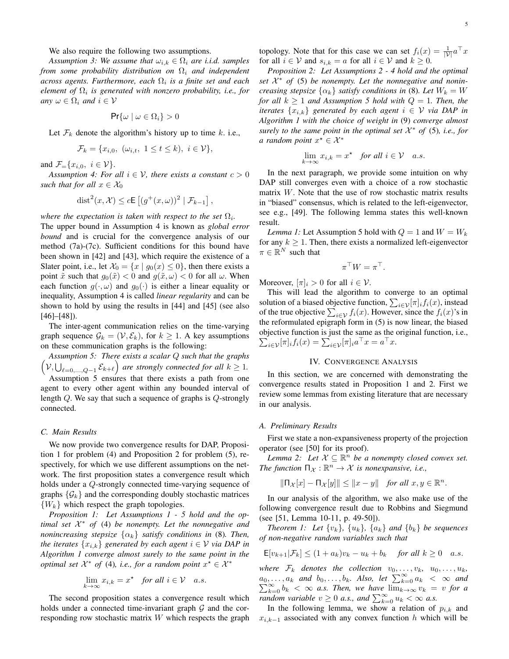We also require the following two assumptions.

*Assumption 3: We assume that*  $\omega_{i,k} \in \Omega_i$  *are i.i.d. samples from some probability distribution on*  $\Omega_i$  *and independent across agents. Furthermore, each* Ω<sup>i</sup> *is a finite set and each*  $e$ *lement of*  $\Omega_i$  is generated with nonzero probability, i.e., for *any*  $\omega \in \Omega_i$  *and*  $i \in \mathcal{V}$ 

$$
\Pr\{\omega \mid \omega \in \Omega_i\} > 0
$$

Let  $\mathcal{F}_k$  denote the algorithm's history up to time k. i.e.,

$$
\mathcal{F}_k = \{x_{i,0}, \ (\omega_{i,t}, \ 1 \le t \le k), \ i \in \mathcal{V}\},\
$$

and  $\mathcal{F}_{=}\{x_{i,0}, i \in \mathcal{V}\}.$ 

*Assumption 4: For all*  $i \in V$ *, there exists a constant*  $c > 0$ *such that for all*  $x \in \mathcal{X}_0$ 

$$
\operatorname{dist}^2(x, \mathcal{X}) \le c \mathsf{E} \left[ (g^+(x, \omega))^2 \mid \mathcal{F}_{k-1} \right],
$$

*where the expectation is taken with respect to the set*  $\Omega_i$ *.* The upper bound in Assumption 4 is known as *global error bound* and is crucial for the convergence analysis of our method (7a)-(7c). Sufficient conditions for this bound have been shown in [42] and [43], which require the existence of a Slater point, i.e., let  $\mathcal{X}_0 = \{x \mid g_0(x) \leq 0\}$ , then there exists a point  $\tilde{x}$  such that  $g_0(\tilde{x}) < 0$  and  $g(\tilde{x}, \omega) < 0$  for all  $\omega$ . When each function  $g(\cdot, \omega)$  and  $g_0(\cdot)$  is either a linear equality or inequality, Assumption 4 is called *linear regularity* and can be shown to hold by using the results in [44] and [45] (see also  $[46]$ – $[48]$ ).

The inter-agent communication relies on the time-varying graph sequence  $\mathcal{G}_k = (\mathcal{V}, \mathcal{E}_k)$ , for  $k \geq 1$ . A key assumptions on these communication graphs is the following:

 $(\mathcal{V}, \bigcup_{\ell=0,\ldots,Q-1} \mathcal{E}_{k+\ell})$  are strongly connected for all  $k \geq 1$ . *Assumption 5: There exists a scalar* Q *such that the graphs* Assumption 5 ensures that there exists a path from one agent to every other agent within any bounded interval of length Q. We say that such a sequence of graphs is Q-strongly connected.

#### *C. Main Results*

We now provide two convergence results for DAP, Proposition 1 for problem (4) and Proposition 2 for problem (5), respectively, for which we use different assumptions on the network. The first proposition states a convergence result which holds under a Q-strongly connected time-varying sequence of graphs  $\{\mathcal{G}_k\}$  and the corresponding doubly stochastic matrices  ${W_k}$  which respect the graph topologies.

*Proposition 1: Let Assumptions 1 - 5 hold and the optimal set* X <sup>∗</sup> *of* (4) *be nonempty. Let the nonnegative and nonincreasing stepsize*  $\{\alpha_k\}$  *satisfy conditions in* (8)*. Then, the iterates*  $\{x_{i,k}\}\$  *generated by each agent*  $i \in V$  *via DAP in Algorithm 1 converge almost surely to the same point in the optimal set*  $\mathcal{X}^*$  *of* (4)*, i.e., for a random point*  $x^* \in \mathcal{X}^*$ 

$$
\lim_{k \to \infty} x_{i,k} = x^* \quad \text{for all } i \in \mathcal{V} \quad a.s.
$$

The second proposition states a convergence result which holds under a connected time-invariant graph  $G$  and the corresponding row stochastic matrix W which respects the graph

topology. Note that for this case we can set  $f_i(x) = \frac{1}{|\mathcal{V}|} a^{\top} x$ for all  $i \in V$  and  $s_{i,k} = a$  for all  $i \in V$  and  $k \geq 0$ .

*Proposition 2: Let Assumptions 2 - 4 hold and the optimal* set  $X^*$  of (5) be nonempty. Let the nonnegative and nonin*creasing stepsize*  $\{\alpha_k\}$  *satisfy conditions in* (8)*. Let*  $W_k = W$ *for all*  $k \geq 1$  *and* Assumption 5 hold with  $Q = 1$ . Then, the *iterates*  $\{x_{i,k}\}\$  *generated by each agent*  $i \in V$  *via DAP in Algorithm 1 with the choice of weight in* (9) *converge almost* surely to the same point in the optimal set  $\mathcal{X}^*$  of (5), i.e., for *a random point*  $x^* \in \mathcal{X}^*$ 

$$
\lim_{k \to \infty} x_{i,k} = x^* \quad \text{for all } i \in \mathcal{V} \quad a.s.
$$

In the next paragraph, we provide some intuition on why DAP still converges even with a choice of a row stochastic matrix W. Note that the use of row stochastic matrix results in "biased" consensus, which is related to the left-eigenvector, see e.g., [49]. The following lemma states this well-known result.

*Lemma 1:* Let Assumption 5 hold with  $Q = 1$  and  $W = W_k$ for any  $k \geq 1$ . Then, there exists a normalized left-eigenvector  $\pi \in \mathbb{R}^N$  such that

$$
\pi^{\top}W = \pi^{\top}.
$$

Moreover,  $[\pi]_i > 0$  for all  $i \in \mathcal{V}$ .

This will lead the algorithm to converge to an optimal solution of a biased objective function,  $\sum_{i \in \mathcal{V}} [\pi]_i f_i(x)$ , instead of the true objective  $\sum_{i \in \mathcal{V}} f_i(x)$ . However, since the  $f_i(x)$ 's in the reformulated epigraph form in (5) is now linear, the biased objective function is just the same as the original function, i.e.,  $\sum_{i \in \mathcal{V}} [\pi]_i f_i(x) = \sum_{i \in \mathcal{V}} [\pi]_i a^{\top} x = a^{\top} x.$ 

# IV. CONVERGENCE ANALYSIS

In this section, we are concerned with demonstrating the convergence results stated in Proposition 1 and 2. First we review some lemmas from existing literature that are necessary in our analysis.

## *A. Preliminary Results*

First we state a non-expansiveness property of the projection operator (see [50] for its proof).

Lemma 2: Let  $X \subseteq \mathbb{R}^n$  be a nonempty closed convex set. The function  $\Pi_{\mathcal{X}} : \mathbb{R}^n \to \mathcal{X}$  *is nonexpansive, i.e.,* 

$$
\|\Pi_{\mathcal{X}}[x] - \Pi_{\mathcal{X}}[y]\| \le \|x - y\| \quad \text{for all } x, y \in \mathbb{R}^n.
$$

In our analysis of the algorithm, we also make use of the following convergence result due to Robbins and Siegmund (see [51, Lemma 10-11, p. 49-50]).

*Theorem 1: Let*  $\{v_k\}$ ,  $\{u_k\}$ ,  $\{a_k\}$  *and*  $\{b_k\}$  *be sequences of non-negative random variables such that*

$$
\mathsf{E}[v_{k+1}|\mathcal{F}_k] \le (1+a_k)v_k - u_k + b_k \quad \text{for all } k \ge 0 \quad a.s.
$$

*where*  $\mathcal{F}_k$  *denotes the collection*  $v_0, \ldots, v_k, u_0, \ldots, u_k$ ,  $a_0, \ldots, a_k$  and  $b_0, \ldots, b_k$ . Also, let  $\sum_{k=0}^{\infty} a_k < \infty$  and  $\sum_{k=0}^{\infty} b_k < \infty$  *a.s. Then, we have*  $\lim_{k\to\infty} v_k = v$  for a *random variable*  $v \geq 0$  *a.s., and*  $\sum_{k=0}^{\infty} u_k < \infty$  *a.s.* 

In the following lemma, we show a relation of  $p_{i,k}$  and  $x_{i,k-1}$  associated with any convex function h which will be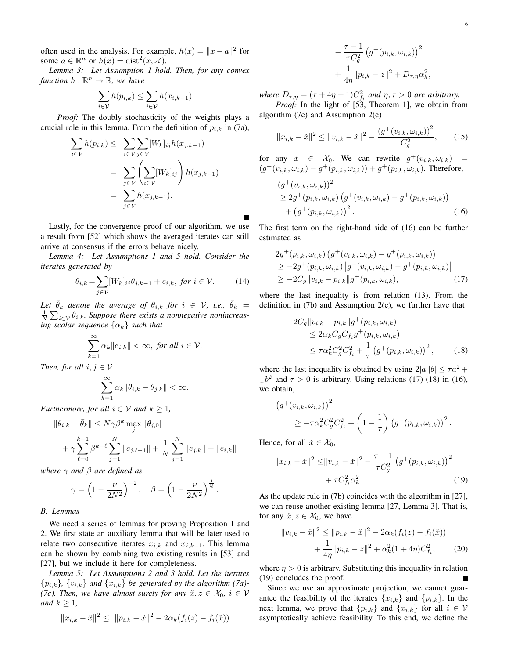often used in the analysis. For example,  $h(x) = ||x - a||^2$  for some  $a \in \mathbb{R}^n$  or  $h(x) = \text{dist}^2(x, \mathcal{X})$ .

*Lemma 3: Let Assumption 1 hold. Then, for any convex function*  $h : \mathbb{R}^n \to \mathbb{R}$ *, we have* 

$$
\sum_{i \in \mathcal{V}} h(p_{i,k}) \le \sum_{i \in \mathcal{V}} h(x_{i,k-1})
$$

*Proof:* The doubly stochasticity of the weights plays a crucial role in this lemma. From the definition of  $p_{i,k}$  in (7a),

$$
\sum_{i \in \mathcal{V}} h(p_{i,k}) \leq \sum_{i \in \mathcal{V}} \sum_{j \in \mathcal{V}} [W_k]_{ij} h(x_{j,k-1})
$$

$$
= \sum_{j \in \mathcal{V}} \left( \sum_{i \in \mathcal{V}} [W_k]_{ij} \right) h(x_{j,k-1})
$$

$$
= \sum_{j \in \mathcal{V}} h(x_{j,k-1}).
$$

Lastly, for the convergence proof of our algorithm, we use a result from [52] which shows the averaged iterates can still arrive at consensus if the errors behave nicely.

*Lemma 4: Let Assumptions 1 and 5 hold. Consider the iterates generated by*

$$
\theta_{i,k} = \sum_{j \in \mathcal{V}} [W_k]_{ij} \theta_{j,k-1} + e_{i,k}, \text{ for } i \in \mathcal{V}.
$$
 (14)

*Let*  $\bar{\theta}_k$  *denote the average of*  $\theta_{i,k}$  *for*  $i \in \mathcal{V}$ *, i.e.,*  $\bar{\theta}_k$  =  $\frac{1}{N} \sum_{i \in \mathcal{V}} \theta_{i,k}$ . Suppose there exists a nonnegative nonincreas*ing scalar sequence*  $\{\alpha_k\}$  *such that* 

$$
\sum_{k=1}^{\infty} \alpha_k ||e_{i,k}|| < \infty, \text{ for all } i \in \mathcal{V}.
$$

*Then, for all*  $i, j \in V$ 

$$
\sum_{k=1}^{\infty} \alpha_k \|\theta_{i,k} - \theta_{j,k}\| < \infty.
$$

*Furthermore, for all*  $i \in V$  *and*  $k \geq 1$ *,* 

$$
\|\theta_{i,k} - \bar{\theta}_k\| \le N\gamma\beta^k \max_{j} \|\theta_{j,0}\| + \gamma \sum_{\ell=0}^{k-1} \beta^{k-\ell} \sum_{j=1}^N \|e_{j,\ell+1}\| + \frac{1}{N} \sum_{j=1}^N \|e_{j,k}\| + \|e_{i,k}\|
$$

*where* γ *and* β *are defined as*

$$
\gamma = \left(1 - \frac{\nu}{2N^2}\right)^{-2}, \quad \beta = \left(1 - \frac{\nu}{2N^2}\right)^{\frac{1}{Q}}.
$$

# *B. Lemmas*

We need a series of lemmas for proving Proposition 1 and 2. We first state an auxiliary lemma that will be later used to relate two consecutive iterates  $x_{i,k}$  and  $x_{i,k-1}$ . This lemma can be shown by combining two existing results in [53] and [27], but we include it here for completeness.

*Lemma 5: Let Assumptions 2 and 3 hold. Let the iterates*  $\{p_{i,k}\}, \{v_{i,k}\}\$  and  $\{x_{i,k}\}\$  *be generated by the algorithm (7a)-(7c). Then, we have almost surely for any*  $\check{x}, z \in \mathcal{X}_0, i \in \mathcal{V}$ *and*  $k \geq 1$ *,* 

$$
||x_{i,k} - \check{x}||^{2} \leq ||p_{i,k} - \check{x}||^{2} - 2\alpha_{k}(f_{i}(z) - f_{i}(\check{x}))
$$

$$
- \frac{\tau - 1}{\tau C_g^2} (g^+(p_{i,k}, \omega_{i,k}))^2 + \frac{1}{4\eta} ||p_{i,k} - z||^2 + D_{\tau, \eta} \alpha_k^2,
$$

*where*  $D_{\tau,\eta} = (\tau + 4\eta + 1)C_{f_i}^2$  *and*  $\eta, \tau > 0$  *are arbitrary.* 

*Proof:* In the light of [53, Theorem 1], we obtain from algorithm (7c) and Assumption 2(e)

$$
||x_{i,k} - \check{x}||^2 \le ||v_{i,k} - \check{x}||^2 - \frac{\left(g^+(v_{i,k}, \omega_{i,k})\right)^2}{C_g^2},\qquad(15)
$$

for any  $\check{x} \in \mathcal{X}_0$ . We can rewrite  $g^+(v_{i,k}, \omega_{i,k}) =$  $(g^+(v_{i,k}, \omega_{i,k}) - g^+(p_{i,k}, \omega_{i,k})) + g^+(p_{i,k}, \omega_{i,k})$ . Therefore,

$$
(g^+(v_{i,k}, \omega_{i,k}))^2
$$
  
\n
$$
\geq 2g^+(p_{i,k}, \omega_{i,k}) (g^+(v_{i,k}, \omega_{i,k}) - g^+(p_{i,k}, \omega_{i,k}))
$$
  
\n
$$
+ (g^+(p_{i,k}, \omega_{i,k}))^2.
$$
 (16)

The first term on the right-hand side of (16) can be further estimated as

$$
2g^+(p_{i,k}, \omega_{i,k}) \left( g^+(v_{i,k}, \omega_{i,k}) - g^+(p_{i,k}, \omega_{i,k}) \right) \n\geq -2g^+(p_{i,k}, \omega_{i,k}) \left| g^+(v_{i,k}, \omega_{i,k}) - g^+(p_{i,k}, \omega_{i,k}) \right| \n\geq -2C_g ||v_{i,k} - p_{i,k}||g^+(p_{i,k}, \omega_{i,k}),
$$
\n(17)

where the last inequality is from relation (13). From the definition in (7b) and Assumption 2(c), we further have that

$$
2C_g ||v_{i,k} - p_{i,k}||g^+(p_{i,k}, \omega_{i,k})
$$
  
\n
$$
\leq 2\alpha_k C_g C_{f_i} g^+(p_{i,k}, \omega_{i,k})
$$
  
\n
$$
\leq \tau \alpha_k^2 C_g^2 C_{f_i}^2 + \frac{1}{\tau} (g^+(p_{i,k}, \omega_{i,k}))^2,
$$
 (18)

where the last inequality is obtained by using  $2|a||b| \leq \tau a^2 +$  $\frac{1}{\tau}b^2$  and  $\tau > 0$  is arbitrary. Using relations (17)-(18) in (16), we obtain,

$$
(g^+(v_{i,k}, \omega_{i,k}))^2
$$
  
 
$$
\geq -\tau \alpha_k^2 C_g^2 C_{f_i}^2 + \left(1 - \frac{1}{\tau}\right) \left(g^+(p_{i,k}, \omega_{i,k})\right)^2.
$$

Hence, for all  $\check{x} \in \mathcal{X}_0$ ,

$$
||x_{i,k} - \check{x}||^2 \le ||v_{i,k} - \check{x}||^2 - \frac{\tau - 1}{\tau C_g^2} (g^+(p_{i,k}, \omega_{i,k}))^2 + \tau C_{f_i}^2 \alpha_k^2.
$$
 (19)

As the update rule in (7b) coincides with the algorithm in [27], we can reuse another existing lemma [27, Lemma 3]. That is, for any  $\check{x}, z \in \mathcal{X}_0$ , we have

$$
||v_{i,k} - \tilde{x}||^2 \le ||p_{i,k} - \tilde{x}||^2 - 2\alpha_k (f_i(z) - f_i(\tilde{x}))
$$
  
+ 
$$
\frac{1}{4\eta} ||p_{i,k} - z||^2 + \alpha_k^2 (1 + 4\eta) C_{f_i}^2,
$$
 (20)

where  $\eta > 0$  is arbitrary. Substituting this inequality in relation (19) concludes the proof.

Since we use an approximate projection, we cannot guarantee the feasibility of the iterates  $\{x_{i,k}\}\$  and  $\{p_{i,k}\}\$ . In the next lemma, we prove that  $\{p_{i,k}\}\$  and  $\{x_{i,k}\}\$ for all  $i \in V$ asymptotically achieve feasibility. To this end, we define the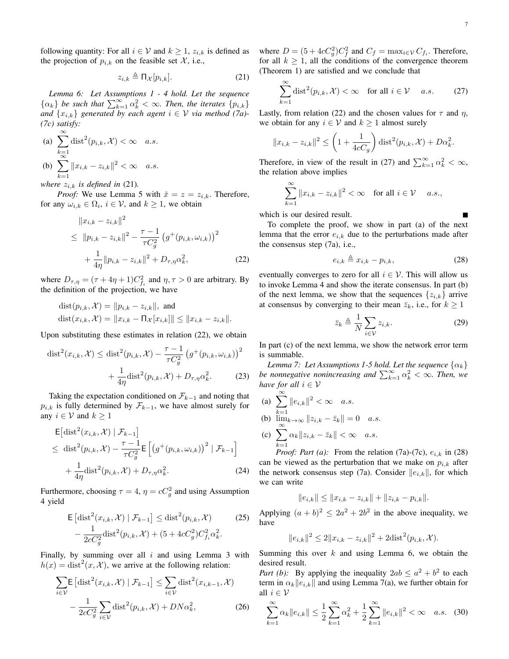following quantity: For all  $i \in V$  and  $k \geq 1$ ,  $z_{i,k}$  is defined as the projection of  $p_{i,k}$  on the feasible set X, i.e.,

$$
z_{i,k} \triangleq \prod_{\mathcal{X}} [p_{i,k}]. \tag{21}
$$

*Lemma 6: Let Assumptions 1 - 4 hold. Let the sequence*  $\{\alpha_k\}$  be such that  $\sum_{k=1}^{\infty} \alpha_k^2 < \infty$ . Then, the iterates  $\{p_{i,k}\}\$ *and*  $\{x_{i,k}\}\$  generated by each agent  $i \in V$  *via method* (7a)-*(7c) satisfy:*

(a)  $\sum_{n=1}^{\infty}$  $k=1$  $dist^2(p_{i,k}, \mathcal{X}) < \infty$  a.s. (b)  $\sum_{n=1}^{\infty}$  $k=1$  $||x_{i,k} - z_{i,k}||^2 < \infty$  a.s.

*where*  $z_{i,k}$  *is defined in* (21).

*Proof:* We use Lemma 5 with  $\check{x} = z = z_{i,k}$ . Therefore, for any  $\omega_{i,k} \in \Omega_i$ ,  $i \in \mathcal{V}$ , and  $k \geq 1$ , we obtain

$$
||x_{i,k} - z_{i,k}||^2
$$
  
\n
$$
\leq ||p_{i,k} - z_{i,k}||^2 - \frac{\tau - 1}{\tau C_g^2} (g^+(p_{i,k}, \omega_{i,k}))^2
$$
  
\n
$$
+ \frac{1}{4\eta} ||p_{i,k} - z_{i,k}||^2 + D_{\tau,\eta} \alpha_k^2,
$$
\n(22)

where  $D_{\tau,\eta} = (\tau + 4\eta + 1)C_{f_i}^2$  and  $\eta, \tau > 0$  are arbitrary. By the definition of the projection, we have

dist
$$
(p_{i,k}, \mathcal{X}) = ||p_{i,k} - z_{i,k}||
$$
, and  
dist $(x_{i,k}, \mathcal{X}) = ||x_{i,k} - \Pi_{\mathcal{X}}[x_{i,k}]]| \le ||x_{i,k} - z_{i,k}||$ .

Upon substituting these estimates in relation (22), we obtain

$$
\text{dist}^2(x_{i,k}, \mathcal{X}) \le \text{dist}^2(p_{i,k}, \mathcal{X}) - \frac{\tau - 1}{\tau C_g^2} \left( g^+(p_{i,k}, \omega_{i,k}) \right)^2
$$

$$
+ \frac{1}{4\eta} \text{dist}^2(p_{i,k}, \mathcal{X}) + D_{\tau, \eta} \alpha_k^2. \tag{23}
$$

Taking the expectation conditioned on  $\mathcal{F}_{k-1}$  and noting that  $p_{i,k}$  is fully determined by  $\mathcal{F}_{k-1}$ , we have almost surely for any  $i \in \mathcal{V}$  and  $k \geq 1$ 

$$
\mathsf{E}\left[\text{dist}^2(x_{i,k}, \mathcal{X}) \mid \mathcal{F}_{k-1}\right] \leq \text{dist}^2(p_{i,k}, \mathcal{X}) - \frac{\tau - 1}{\tau C_g^2} \mathsf{E}\left[\left(g^+(p_{i,k}, \omega_{i,k})\right)^2 \mid \mathcal{F}_{k-1}\right] + \frac{1}{4\eta} \text{dist}^2(p_{i,k}, \mathcal{X}) + D_{\tau, \eta} \alpha_k^2. \tag{24}
$$

Furthermore, choosing  $\tau = 4$ ,  $\eta = cC_g^2$  and using Assumption 4 yield

$$
\mathsf{E}\left[\text{dist}^2(x_{i,k}, \mathcal{X}) \mid \mathcal{F}_{k-1}\right] \le \text{dist}^2(p_{i,k}, \mathcal{X}) \tag{25}
$$
\n
$$
-\frac{1}{2cC_g^2} \text{dist}^2(p_{i,k}, \mathcal{X}) + (5 + 4cC_g^2)C_{f_i}^2 \alpha_k^2.
$$

Finally, by summing over all  $i$  and using Lemma 3 with  $h(x) = \text{dist}^2(x, \mathcal{X})$ , we arrive at the following relation:

$$
\sum_{i \in \mathcal{V}} \mathsf{E}\left[\text{dist}^2(x_{i,k}, \mathcal{X}) \mid \mathcal{F}_{k-1}\right] \le \sum_{i \in \mathcal{V}} \text{dist}^2(x_{i,k-1}, \mathcal{X}) - \frac{1}{2cC_g^2} \sum_{i \in \mathcal{V}} \text{dist}^2(p_{i,k}, \mathcal{X}) + DN\alpha_k^2,
$$
 (26)

where  $D = (5 + 4cC_g^2)C_f^2$  and  $C_f = \max_{i \in \mathcal{V}} C_{f_i}$ . Therefore, for all  $k \geq 1$ , all the conditions of the convergence theorem (Theorem 1) are satisfied and we conclude that

$$
\sum_{k=1}^{\infty} \text{dist}^2(p_{i,k}, \mathcal{X}) < \infty \quad \text{for all } i \in \mathcal{V} \quad a.s. \tag{27}
$$

Lastly, from relation (22) and the chosen values for  $\tau$  and  $\eta$ , we obtain for any  $i \in V$  and  $k \ge 1$  almost surely

$$
||x_{i,k} - z_{i,k}||^2 \le \left(1 + \frac{1}{4cC_g}\right) \text{dist}^2(p_{i,k}, \mathcal{X}) + D\alpha_k^2.
$$

Therefore, in view of the result in (27) and  $\sum_{k=1}^{\infty} \alpha_k^2 < \infty$ , the relation above implies

$$
\sum_{k=1}^{\infty} \|x_{i,k} - z_{i,k}\|^2 < \infty \quad \text{for all } i \in \mathcal{V} \quad a.s.,
$$

which is our desired result.

To complete the proof, we show in part (a) of the next lemma that the error  $e_{i,k}$  due to the perturbations made after the consensus step (7a), i.e.,

$$
e_{i,k} \triangleq x_{i,k} - p_{i,k},\tag{28}
$$

eventually converges to zero for all  $i \in V$ . This will allow us to invoke Lemma 4 and show the iterate consensus. In part (b) of the next lemma, we show that the sequences  $\{z_{i,k}\}\$  arrive at consensus by converging to their mean  $\bar{z}_k$ , i.e., for  $k \geq 1$ 

$$
\bar{z}_k \triangleq \frac{1}{N} \sum_{i \in \mathcal{V}} z_{i,k}.\tag{29}
$$

In part (c) of the next lemma, we show the network error term is summable.

*Lemma 7: Let Assumptions 1-5 hold. Let the sequence*  $\{\alpha_k\}$ *be nonnegative nonincreasing and*  $\sum_{k=1}^{\infty} \alpha_k^2 < \infty$ . Then, we *have for all*  $i \in V$ 

(a)  $\sum_{n=1}^{\infty}$  $k=1$  $||e_{i,k}||^2 < \infty$  a.s. (b)  $\lim_{k \to \infty} ||z_{i,k} - \bar{z}_k|| = 0$  a.s.  $(c)$   $\sum_{n=1}^{\infty}$  $k=1$  $\alpha_k ||z_{i,k} - \bar{z}_k|| < \infty \quad a.s.$ 

*Proof: Part (a):* From the relation (7a)-(7c),  $e_{i,k}$  in (28) can be viewed as the perturbation that we make on  $p_{i,k}$  after the network consensus step (7a). Consider  $||e_{i,k}||$ , for which we can write

$$
||e_{i,k}|| \le ||x_{i,k} - z_{i,k}|| + ||z_{i,k} - p_{i,k}||.
$$

Applying  $(a + b)^2 \leq 2a^2 + 2b^2$  in the above inequality, we have

$$
||e_{i,k}||^2 \le 2||x_{i,k} - z_{i,k}||^2 + 2\text{dist}^2(p_{i,k}, \mathcal{X}).
$$

Summing this over  $k$  and using Lemma 6, we obtain the desired result.

*Part (b)*: By applying the inequality  $2ab \le a^2 + b^2$  to each term in  $\alpha_k ||e_{i,k}||$  and using Lemma 7(a), we further obtain for all  $i \in \mathcal{V}$ 

$$
\sum_{k=1}^{\infty} \alpha_k \|e_{i,k}\| \le \frac{1}{2} \sum_{k=1}^{\infty} \alpha_k^2 + \frac{1}{2} \sum_{k=1}^{\infty} \|e_{i,k}\|^2 < \infty \quad a.s. \quad (30)
$$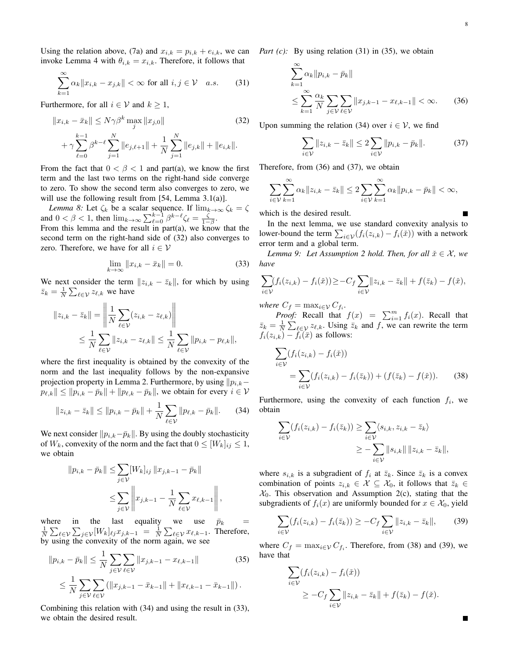Using the relation above, (7a) and  $x_{i,k} = p_{i,k} + e_{i,k}$ , we can *Part (c)*: By using relation (31) in (35), we obtain invoke Lemma 4 with  $\theta_{i,k} = x_{i,k}$ . Therefore, it follows that

$$
\sum_{k=1}^{\infty} \alpha_k \|x_{i,k} - x_{j,k}\| < \infty \text{ for all } i, j \in \mathcal{V} \quad a.s. \tag{31}
$$

Furthermore, for all  $i \in V$  and  $k \geq 1$ ,

$$
||x_{i,k} - \bar{x}_k|| \le N\gamma\beta^k \max_j ||x_{j,0}||
$$
\n
$$
+ \gamma \sum_{\ell=0}^{k-1} \beta^{k-\ell} \sum_{j=1}^N ||e_{j,\ell+1}|| + \frac{1}{N} \sum_{j=1}^N ||e_{j,k}|| + ||e_{i,k}||.
$$
\n(32)

From the fact that  $0 < \beta < 1$  and part(a), we know the first term and the last two terms on the right-hand side converge to zero. To show the second term also converges to zero, we will use the following result from [54, Lemma 3.1(a)].

*Lemma 8:* Let  $\zeta_k$  be a scalar sequence. If  $\lim_{k\to\infty} \zeta_k = \zeta$ and  $0 < \beta < 1$ , then  $\lim_{k \to \infty} \sum_{\ell=0}^{k-1} \beta^{k-\ell} \zeta_{\ell} = \frac{\zeta}{1-\beta}$ .

From this lemma and the result in part(a), we know that the second term on the right-hand side of (32) also converges to zero. Therefore, we have for all  $i \in V$ 

$$
\lim_{k \to \infty} \|x_{i,k} - \bar{x}_k\| = 0.
$$
\n(33)

We next consider the term  $||z_{i,k} - \bar{z}_k||$ , for which by using  $\bar{z}_k = \frac{1}{N} \sum_{\ell \in \mathcal{V}} z_{\ell,k}$  we have

$$
||z_{i,k} - \bar{z}_k|| = \left\| \frac{1}{N} \sum_{\ell \in \mathcal{V}} (z_{i,k} - z_{\ell,k}) \right\|
$$
  

$$
\leq \frac{1}{N} \sum_{\ell \in \mathcal{V}} ||z_{i,k} - z_{\ell,k}|| \leq \frac{1}{N} \sum_{\ell \in \mathcal{V}} ||p_{i,k} - p_{\ell,k}||,
$$

where the first inequality is obtained by the convexity of the norm and the last inequality follows by the non-expansive projection property in Lemma 2. Furthermore, by using  $||p_{i,k}$  $p_{\ell,k}$   $\leq$   $||p_{i,k} - \bar{p}_k|| + ||p_{\ell,k} - \bar{p}_k||$ , we obtain for every  $i \in \mathcal{V}$ 

$$
||z_{i,k} - \bar{z}_k|| \le ||p_{i,k} - \bar{p}_k|| + \frac{1}{N} \sum_{\ell \in \mathcal{V}} ||p_{\ell,k} - \bar{p}_k||. \tag{34}
$$

We next consider  $||p_{i,k}-\bar{p}_k||$ . By using the doubly stochasticity of  $W_k$ , convexity of the norm and the fact that  $0 \leq |W_k|_{ij} \leq 1$ , we obtain

$$
||p_{i,k} - \bar{p}_k|| \le \sum_{j \in \mathcal{V}} [W_k]_{ij} ||x_{j,k-1} - \bar{p}_k||
$$
  

$$
\le \sum_{j \in \mathcal{V}} ||x_{j,k-1} - \frac{1}{N} \sum_{\ell \in \mathcal{V}} x_{\ell,k-1}||,
$$

where in the last equality we use  $\bar{p}_k$  $\frac{1}{N} \sum_{\ell \in \mathcal{V}} \sum_{j \in \mathcal{V}} [W_k]_{\ell j} x_{j,k-1} = \frac{1}{N} \sum_{\ell \in \mathcal{V}} x_{\ell,k-1}$ . Therefore, by using the convexity of the norm again, we see

$$
||p_{i,k} - \bar{p}_k|| \le \frac{1}{N} \sum_{j \in \mathcal{V}} \sum_{\ell \in \mathcal{V}} ||x_{j,k-1} - x_{\ell,k-1}|| \tag{35}
$$
  

$$
\le \frac{1}{N} \sum_{j \in \mathcal{V}} \sum_{\ell \in \mathcal{V}} (||x_{j,k-1} - \bar{x}_{k-1}|| + ||x_{\ell,k-1} - \bar{x}_{k-1}||).
$$

Combining this relation with (34) and using the result in (33), we obtain the desired result.

$$
\sum_{k=1}^{\infty} \alpha_k \|p_{i,k} - \bar{p}_k\|
$$
  
\n
$$
\leq \sum_{k=1}^{\infty} \frac{\alpha_k}{N} \sum_{j \in \mathcal{V}} \sum_{\ell \in \mathcal{V}} \|x_{j,k-1} - x_{\ell,k-1}\| < \infty.
$$
 (36)

Upon summing the relation (34) over  $i \in V$ , we find

$$
\sum_{i \in \mathcal{V}} \|z_{i,k} - \bar{z}_k\| \le 2 \sum_{i \in \mathcal{V}} \|p_{i,k} - \bar{p}_k\|.
$$
 (37)

Therefore, from (36) and (37), we obtain

$$
\sum_{i\in\mathcal{V}}\sum_{k=1}^{\infty}\alpha_k\|z_{i,k}-\bar{z}_k\|\leq 2\sum_{i\in\mathcal{V}}\sum_{k=1}^{\infty}\alpha_k\|p_{i,k}-\bar{p}_k\|<\infty,
$$

which is the desired result.

In the next lemma, we use standard convexity analysis to lower-bound the term  $\sum_{i \in \mathcal{V}} (f_i(z_{i,k}) - f_i(\tilde{x}))$  with a network error term and a global term.

*Lemma 9: Let Assumption 2 hold. Then, for all*  $\check{x} \in \mathcal{X}$ *, we have*

$$
\sum_{i\in\mathcal{V}}(f_i(z_{i,k})-f_i(\check{x}))\geq -C_f\sum_{i\in\mathcal{V}}\|z_{i,k}-\bar{z}_k\|+f(\bar{z}_k)-f(\check{x}),
$$

*where*  $C_f = \max_{i \in \mathcal{V}} C_{f_i}$ *.* 

*Proof:* Recall that  $f(x) = \sum_{i=1}^{m} f_i(x)$ . Recall that  $\bar{z}_k = \frac{1}{N} \sum_{\ell \in \mathcal{V}} z_{\ell,k}$ . Using  $\bar{z}_k$  and f, we can rewrite the term  $f_i(z_{i,k}) - f_i(\bar{x})$  as follows:

$$
\sum_{i \in \mathcal{V}} (f_i(z_{i,k}) - f_i(\tilde{x}))
$$
  
= 
$$
\sum_{i \in \mathcal{V}} (f_i(z_{i,k}) - f_i(\tilde{z}_k)) + (f(\tilde{z}_k) - f(\tilde{x})).
$$
 (38)

Furthermore, using the convexity of each function  $f_i$ , we obtain

$$
\sum_{i \in \mathcal{V}} (f_i(z_{i,k}) - f_i(\bar{z}_k)) \ge \sum_{i \in \mathcal{V}} \langle s_{i,k}, z_{i,k} - \bar{z}_k \rangle
$$
  

$$
\ge -\sum_{i \in \mathcal{V}} ||s_{i,k}|| ||z_{i,k} - \bar{z}_k||,
$$

where  $s_{i,k}$  is a subgradient of  $f_i$  at  $\bar{z}_k$ . Since  $\bar{z}_k$  is a convex combination of points  $z_{i,k} \in \mathcal{X} \subseteq \mathcal{X}_0$ , it follows that  $\bar{z}_k \in$  $X_0$ . This observation and Assumption 2(c), stating that the subgradients of  $f_i(x)$  are uniformly bounded for  $x \in \mathcal{X}_0$ , yield

$$
\sum_{i\in\mathcal{V}}(f_i(z_{i,k}) - f_i(\bar{z}_k)) \ge -C_f \sum_{i\in\mathcal{V}} \|z_{i,k} - \bar{z}_k\|,\tag{39}
$$

where  $C_f = \max_{i \in \mathcal{V}} C_{f_i}$ . Therefore, from (38) and (39), we have that

$$
\sum_{i \in \mathcal{V}} (f_i(z_{i,k}) - f_i(\tilde{x}))
$$
\n
$$
\geq -C_f \sum_{i \in \mathcal{V}} ||z_{i,k} - \bar{z}_k|| + f(\bar{z}_k) - f(\tilde{x}).
$$

П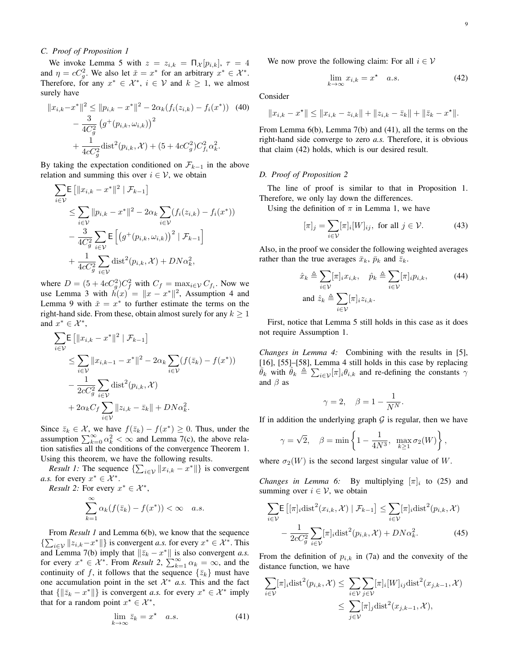# *C. Proof of Proposition 1*

We invoke Lemma 5 with  $z = z_{i,k} = \prod_{\mathcal{X}} [p_{i,k}], \tau = 4$ and  $\eta = cC_g^2$ . We also let  $\check{x} = x^*$  for an arbitrary  $x^* \in \mathcal{X}^*$ . Therefore, for any  $x^* \in \mathcal{X}^*$ ,  $i \in \mathcal{V}$  and  $k \geq 1$ , we almost surely have

$$
||x_{i,k} - x^*||^2 \le ||p_{i,k} - x^*||^2 - 2\alpha_k (f_i(z_{i,k}) - f_i(x^*)) \quad (40)
$$

$$
- \frac{3}{4C_g^2} (g^+(p_{i,k}, \omega_{i,k}))^2
$$

$$
+ \frac{1}{4cC_g^2} \text{dist}^2(p_{i,k}, \mathcal{X}) + (5 + 4cC_g^2) C_{f_i}^2 \alpha_k^2.
$$

By taking the expectation conditioned on  $\mathcal{F}_{k-1}$  in the above relation and summing this over  $i \in V$ , we obtain

$$
\sum_{i \in \mathcal{V}} \mathsf{E} \left[ \|x_{i,k} - x^*\|^2 \, \big| \, \mathcal{F}_{k-1} \right] \n\leq \sum_{i \in \mathcal{V}} \|p_{i,k} - x^*\|^2 - 2\alpha_k \sum_{i \in \mathcal{V}} (f_i(z_{i,k}) - f_i(x^*)) \n- \frac{3}{4C_g^2} \sum_{i \in \mathcal{V}} \mathsf{E} \left[ \left( g^+(p_{i,k}, \omega_{i,k}) \right)^2 \, \big| \, \mathcal{F}_{k-1} \right] \n+ \frac{1}{4cC_g^2} \sum_{i \in \mathcal{V}} \text{dist}^2(p_{i,k}, \mathcal{X}) + DN\alpha_k^2,
$$

where  $D = (5 + 4cC_g^2)C_f^2$  with  $C_f = \max_{i \in \mathcal{V}} C_{f_i}$ . Now we use Lemma 3 with  $\tilde{h}(x) = ||x - x^*||^2$ , Assumption 4 and Lemma 9 with  $\tilde{x} = x^*$  to further estimate the terms on the right-hand side. From these, obtain almost surely for any  $k > 1$ and  $x^* \in \mathcal{X}^*$ ,

$$
\sum_{i \in \mathcal{V}} \mathsf{E} \left[ \|x_{i,k} - x^*\|^2 \mid \mathcal{F}_{k-1} \right]
$$
\n
$$
\leq \sum_{i \in \mathcal{V}} \|x_{i,k-1} - x^*\|^2 - 2\alpha_k \sum_{i \in \mathcal{V}} (f(\bar{z}_k) - f(x^*))
$$
\n
$$
- \frac{1}{2cC_g^2} \sum_{i \in \mathcal{V}} \text{dist}^2(p_{i,k}, \mathcal{X})
$$
\n
$$
+ 2\alpha_k C_f \sum_{i \in \mathcal{V}} \|z_{i,k} - \bar{z}_k\| + DN\alpha_k^2.
$$

Since  $\bar{z}_k \in \mathcal{X}$ , we have  $f(\bar{z}_k) - f(x^*) \geq 0$ . Thus, under the assumption  $\sum_{k=0}^{\infty} \alpha_k^2 < \infty$  and Lemma 7(c), the above relation satisfies all the conditions of the convergence Theorem 1. Using this theorem, we have the following results.

*Result 1:* The sequence  $\{\sum_{i \in \mathcal{V}} ||x_{i,k} - x^*||\}$  is convergent *a.s.* for every  $x^* \in \mathcal{X}^*$ .

*Result 2:* For every  $x^* \in \mathcal{X}^*$ ,

$$
\sum_{k=1}^{\infty} \alpha_k (f(\bar{z}_k) - f(x^*)) < \infty \quad a.s.
$$

From *Result 1* and Lemma 6(b), we know that the sequence { $\sum_{i \in \mathcal{V}} ||z_{i,k} - x^*||$ } is convergent *a.s.* for every  $x^* \in \mathcal{X}^*$ . This and Lemma 7(b) imply that  $\|\bar{z}_k - x^*\|$  is also convergent *a.s.* for every  $x^* \in \mathcal{X}^*$ . From *Result 2*,  $\sum_{k=1}^{\infty} \alpha_k = \infty$ , and the continuity of f, it follows that the sequence  $\{\bar{z}_k\}$  must have one accumulation point in the set  $\mathcal{X}^*$  a.s. This and the fact that  $\{\|\bar{z}_k - x^*\|\}$  is convergent *a.s.* for every  $x^* \in \mathcal{X}^*$  imply that for a random point  $x^* \in \mathcal{X}^*$ ,

$$
\lim_{k \to \infty} \bar{z}_k = x^* \quad a.s. \tag{41}
$$

We now prove the following claim: For all  $i \in V$ 

$$
\lim_{k \to \infty} x_{i,k} = x^* \quad a.s. \tag{42}
$$

Consider

$$
||x_{i,k} - x^*|| \le ||x_{i,k} - z_{i,k}|| + ||z_{i,k} - \bar{z}_k|| + ||\bar{z}_k - x^*||.
$$

From Lemma 6(b), Lemma 7(b) and (41), all the terms on the right-hand side converge to zero *a.s.* Therefore, it is obvious that claim (42) holds, which is our desired result.

# *D. Proof of Proposition 2*

The line of proof is similar to that in Proposition 1. Therefore, we only lay down the differences.

Using the definition of  $\pi$  in Lemma 1, we have

$$
[\pi]_j = \sum_{i \in \mathcal{V}} [\pi]_i [W]_{ij}, \text{ for all } j \in \mathcal{V}.
$$
 (43)

Also, in the proof we consider the following weighted averages rather than the true averages  $\bar{x}_k$ ,  $\bar{p}_k$  and  $\bar{z}_k$ .

$$
\hat{x}_k \triangleq \sum_{i \in \mathcal{V}} [\pi]_i x_{i,k}, \quad \hat{p}_k \triangleq \sum_{i \in \mathcal{V}} [\pi]_i p_{i,k},
$$
\n
$$
\text{and } \hat{z}_k \triangleq \sum_{i \in \mathcal{V}} [\pi]_i z_{i,k}.
$$
\n(44)

First, notice that Lemma 5 still holds in this case as it does not require Assumption 1.

*Changes in Lemma 4:* Combining with the results in [5], [16], [55]–[58], Lemma 4 still holds in this case by replacing  $\bar{\theta}_k$  with  $\hat{\theta}_k \triangleq \sum_{i \in \mathcal{V}} [\pi]_i \theta_{i,k}$  and re-defining the constants  $\gamma$ and  $\beta$  as

$$
\gamma = 2, \quad \beta = 1 - \frac{1}{N^N}.
$$

If in addition the underlying graph  $G$  is regular, then we have

$$
\gamma = \sqrt{2}, \quad \beta = \min\left\{1 - \frac{1}{4N^3}, \ \ \max_{k \ge 1} \sigma_2(W)\right\},\
$$

where  $\sigma_2(W)$  is the second largest singular value of W.

*Changes in Lemma 6:* By multiplying  $[\pi]_i$  to (25) and summing over  $i \in V$ , we obtain

$$
\sum_{i \in \mathcal{V}} \mathsf{E}\left[ [\pi]_i \text{dist}^2(x_{i,k}, \mathcal{X}) \mid \mathcal{F}_{k-1} \right] \le \sum_{i \in \mathcal{V}} [\pi]_i \text{dist}^2(p_{i,k}, \mathcal{X}) - \frac{1}{2cC_g^2} \sum_{i \in \mathcal{V}} [\pi]_i \text{dist}^2(p_{i,k}, \mathcal{X}) + DN\alpha_k^2.
$$
 (45)

From the definition of  $p_{i,k}$  in (7a) and the convexity of the distance function, we have

$$
\sum_{i \in \mathcal{V}} [\pi]_i \text{dist}^2(p_{i,k}, \mathcal{X}) \leq \sum_{i \in \mathcal{V}} \sum_{j \in \mathcal{V}} [\pi]_i [W]_{ij} \text{dist}^2(x_{j,k-1}, \mathcal{X})
$$

$$
\leq \sum_{j \in \mathcal{V}} [\pi]_j \text{dist}^2(x_{j,k-1}, \mathcal{X}),
$$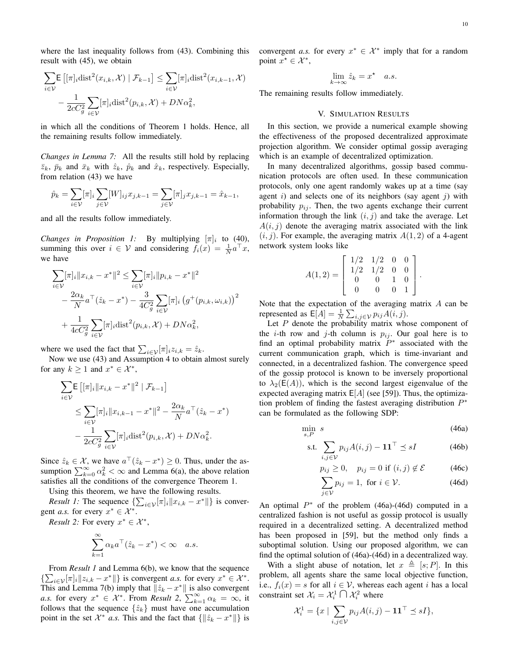where the last inequality follows from (43). Combining this result with (45), we obtain

$$
\sum_{i \in \mathcal{V}} \mathsf{E}\left[ [\pi]_i \text{dist}^2(x_{i,k}, \mathcal{X}) \mid \mathcal{F}_{k-1} \right] \le \sum_{i \in \mathcal{V}} [\pi]_i \text{dist}^2(x_{i,k-1}, \mathcal{X})
$$

$$
- \frac{1}{2cC_g^2} \sum_{i \in \mathcal{V}} [\pi]_i \text{dist}^2(p_{i,k}, \mathcal{X}) + DN\alpha_k^2,
$$

in which all the conditions of Theorem 1 holds. Hence, all the remaining results follow immediately.

*Changes in Lemma 7:* All the results still hold by replacing  $\bar{z}_k$ ,  $\bar{p}_k$  and  $\bar{x}_k$  with  $\hat{z}_k$ ,  $\hat{p}_k$  and  $\hat{x}_k$ , respectively. Especially, from relation (43) we have

$$
\hat{p}_k = \sum_{i \in \mathcal{V}} [\pi]_i \sum_{j \in \mathcal{V}} [W]_{ij} x_{j,k-1} = \sum_{j \in \mathcal{V}} [\pi]_j x_{j,k-1} = \hat{x}_{k-1},
$$

and all the results follow immediately.

*Changes in Proposition 1:* By multiplying  $[\pi]_i$  to (40), summing this over  $i \in V$  and considering  $f_i(x) = \frac{1}{N} a^{\top} x$ , we have

$$
\sum_{i \in \mathcal{V}} [\pi]_i \|x_{i,k} - x^*\|^2 \le \sum_{i \in \mathcal{V}} [\pi]_i \|p_{i,k} - x^*\|^2
$$
  
-  $\frac{2\alpha_k}{N} a^{\top} (\hat{z}_k - x^*) - \frac{3}{4C_g^2} \sum_{i \in \mathcal{V}} [\pi]_i (g^+(p_{i,k}, \omega_{i,k}))^2$   
+  $\frac{1}{4cC_g^2} \sum_{i \in \mathcal{V}} [\pi]_i \text{dist}^2(p_{i,k}, \mathcal{X}) + DN\alpha_k^2,$ 

where we used the fact that  $\sum_{i \in \mathcal{V}} [\pi]_i z_{i,k} = \hat{z}_k$ .

Now we use (43) and Assumption 4 to obtain almost surely for any  $k \geq 1$  and  $x^* \in \mathcal{X}^*$ ,

$$
\sum_{i \in \mathcal{V}} \mathsf{E} \left[ [\pi]_i \| x_{i,k} - x^* \|^2 \mid \mathcal{F}_{k-1} \right]
$$
  
\n
$$
\leq \sum_{i \in \mathcal{V}} [\pi]_i \| x_{i,k-1} - x^* \|^2 - \frac{2\alpha_k}{N} a^\top (\hat{z}_k - x^*)
$$
  
\n
$$
- \frac{1}{2cC_g^2} \sum_{i \in \mathcal{V}} [\pi]_i \text{dist}^2(p_{i,k}, \mathcal{X}) + DN\alpha_k^2.
$$

Since  $\hat{z}_k \in \mathcal{X}$ , we have  $a^{\top}(\hat{z}_k - x^*) \geq 0$ . Thus, under the assumption  $\sum_{k=0}^{\infty} \alpha_k^2 < \infty$  and Lemma 6(a), the above relation satisfies all the conditions of the convergence Theorem 1.

Using this theorem, we have the following results.

*Result 1:* The sequence  $\{\sum_{i \in \mathcal{V}} [\pi]_i || x_{i,k} - x^* ||\}$  is convergent *a.s.* for every  $x^* \in \mathcal{X}^*$ .

*Result 2:* For every  $x^* \in \mathcal{X}^*$ ,

$$
\sum_{k=1}^{\infty} \alpha_k a^{\top} (\hat{z}_k - x^*) < \infty \quad a.s.
$$

From *Result 1* and Lemma 6(b), we know that the sequence  $\{\sum_{i\in\mathcal{V}}[\pi]_i||z_{i,k}-x^*||\}$  is convergent *a.s.* for every  $x^*\in\mathcal{X}^*$ . This and Lemma 7(b) imply that  $\|\hat{z}_k - x^*\|$  is also convergent *a.s.* for every  $x^* \in \mathcal{X}^*$ . From *Result* 2,  $\sum_{k=1}^{\infty} \alpha_k = \infty$ , it follows that the sequence  $\{\hat{z}_k\}$  must have one accumulation point in the set  $\mathcal{X}^*$  *a.s.* This and the fact that  $\{\|\hat{z}_k - x^*\|\}$  is convergent *a.s.* for every  $x^* \in \mathcal{X}^*$  imply that for a random point  $x^* \in \mathcal{X}^*$ ,

$$
\lim_{k \to \infty} \hat{z}_k = x^* \quad a.s.
$$

The remaining results follow immediately.

# V. SIMULATION RESULTS

In this section, we provide a numerical example showing the effectiveness of the proposed decentralized approximate projection algorithm. We consider optimal gossip averaging which is an example of decentralized optimization.

In many decentralized algorithms, gossip based communication protocols are often used. In these communication protocols, only one agent randomly wakes up at a time (say agent i) and selects one of its neighbors (say agent  $j$ ) with probability  $p_{ij}$ . Then, the two agents exchange their current information through the link  $(i, j)$  and take the average. Let  $A(i, j)$  denote the averaging matrix associated with the link  $(i, j)$ . For example, the averaging matrix  $A(1, 2)$  of a 4-agent network system looks like

$$
A(1,2) = \left[ \begin{array}{rrr} 1/2 & 1/2 & 0 & 0 \\ 1/2 & 1/2 & 0 & 0 \\ 0 & 0 & 1 & 0 \\ 0 & 0 & 0 & 1 \end{array} \right].
$$

Note that the expectation of the averaging matrix A can be represented as  $E[A] = \frac{1}{N} \sum_{i,j \in \mathcal{V}} p_{ij} A(i,j)$ .

Let  $P$  denote the probability matrix whose component of the *i*-th row and *j*-th column is  $p_{ij}$ . Our goal here is to find an optimal probability matrix  $P^*$  associated with the current communication graph, which is time-invariant and connected, in a decentralized fashion. The convergence speed of the gossip protocol is known to be inversely proportional to  $\lambda_2(E(A))$ , which is the second largest eigenvalue of the expected averaging matrix  $E[A]$  (see [59]). Thus, the optimization problem of finding the fastest averaging distribution  $P^*$ can be formulated as the following SDP:

$$
\min_{s,P} s \tag{46a}
$$

$$
\text{s.t. } \sum_{i,j \in \mathcal{V}} p_{ij} A(i,j) - \mathbf{1}\mathbf{1}^\top \preceq sI \tag{46b}
$$

$$
p_{ij} \ge 0, \quad p_{ij} = 0 \text{ if } (i,j) \notin \mathcal{E} \tag{46c}
$$

$$
\sum p_{ij} = 1, \text{ for } i \in \mathcal{V}.
$$
 (46d)

An optimal  $P^*$  of the problem (46a)-(46d) computed in a centralized fashion is not useful as gossip protocol is usually required in a decentralized setting. A decentralized method has been proposed in [59], but the method only finds a suboptimal solution. Using our proposed algorithm, we can find the optimal solution of (46a)-(46d) in a decentralized way.

 $i \in \mathcal{V}$ 

With a slight abuse of notation, let  $x \triangleq [s; P]$ . In this problem, all agents share the same local objective function, i.e.,  $f_i(x) = s$  for all  $i \in V$ , whereas each agent i has a local constraint set  $\mathcal{X}_i = \mathcal{X}_i^1 \cap \mathcal{X}_i^2$  where

$$
\mathcal{X}_i^1 = \{x \mid \sum_{i,j \in \mathcal{V}} p_{ij} A(i,j) - \mathbf{1} \mathbf{1}^\top \preceq sI\},\
$$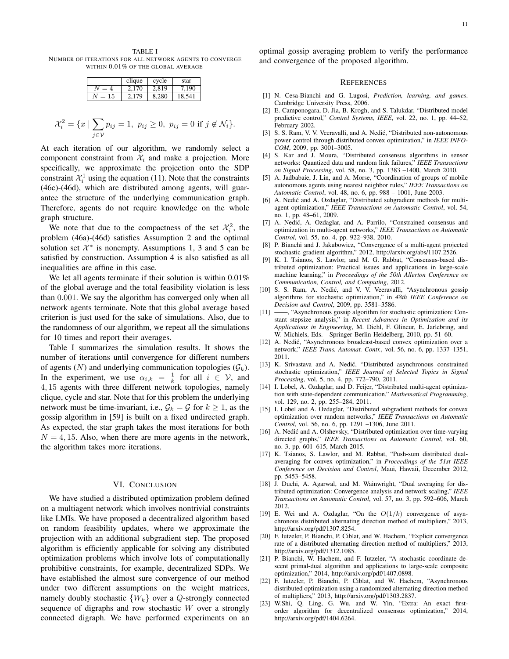TABLE I NUMBER OF ITERATIONS FOR ALL NETWORK AGENTS TO CONVERGE WITHIN 0.01% OF THE GLOBAL AVERAGE

|    | clique | cycle | star   |
|----|--------|-------|--------|
|    | 2.170  | 2.819 | .190   |
| 15 | $-179$ | 8.280 | 18.541 |

$$
\mathcal{X}_i^2 = \{x \mid \sum_{j \in \mathcal{V}} p_{ij} = 1, \ p_{ij} \ge 0, \ p_{ij} = 0 \text{ if } j \notin \mathcal{N}_i \}.
$$

At each iteration of our algorithm, we randomly select a component constraint from  $\mathcal{X}_i$  and make a projection. More specifically, we approximate the projection onto the SDP constraint  $\mathcal{X}_i^1$  using the equation (11). Note that the constraints (46c)-(46d), which are distributed among agents, will guarantee the structure of the underlying communication graph. Therefore, agents do not require knowledge on the whole graph structure.

We note that due to the compactness of the set  $\mathcal{X}_i^2$ , the problem (46a)-(46d) satisfies Assumption 2 and the optimal solution set  $\mathcal{X}^*$  is nonempty. Assumptions 1, 3 and 5 can be satisfied by construction. Assumption 4 is also satisfied as all inequalities are affine in this case.

We let all agents terminate if their solution is within 0.01% of the global average and the total feasibility violation is less than 0.001. We say the algorithm has converged only when all network agents terminate. Note that this global average based criterion is just used for the sake of simulations. Also, due to the randomness of our algorithm, we repeat all the simulations for 10 times and report their averages.

Table I summarizes the simulation results. It shows the number of iterations until convergence for different numbers of agents  $(N)$  and underlying communication topologies  $(\mathcal{G}_k)$ . In the experiment, we use  $\alpha_{i,k} = \frac{1}{k}$  for all  $i \in \mathcal{V}$ , and 4, 15 agents with three different network topologies, namely clique, cycle and star. Note that for this problem the underlying network must be time-invariant, i.e.,  $\mathcal{G}_k = \mathcal{G}$  for  $k \geq 1$ , as the gossip algorithm in [59] is built on a fixed undirected graph. As expected, the star graph takes the most iterations for both  $N = 4, 15$ . Also, when there are more agents in the network, the algorithm takes more iterations.

#### VI. CONCLUSION

We have studied a distributed optimization problem defined on a multiagent network which involves nontrivial constraints like LMIs. We have proposed a decentralized algorithm based on random feasibility updates, where we approximate the projection with an additional subgradient step. The proposed algorithm is efficiently applicable for solving any distributed optimization problems which involve lots of computationally prohibitive constraints, for example, decentralized SDPs. We have established the almost sure convergence of our method under two different assumptions on the weight matrices, namely doubly stochastic  ${W_k}$  over a Q-strongly connected sequence of digraphs and row stochastic W over a strongly connected digraph. We have performed experiments on an optimal gossip averaging problem to verify the performance and convergence of the proposed algorithm.

# **REFERENCES**

- [1] N. Cesa-Bianchi and G. Lugosi, *Prediction, learning, and games*. Cambridge University Press, 2006.
- [2] E. Camponogara, D. Jia, B. Krogh, and S. Talukdar, "Distributed model predictive control," *Control Systems, IEEE*, vol. 22, no. 1, pp. 44–52, February 2002.
- [3] S. S. Ram, V. V. Veeravalli, and A. Nedić, "Distributed non-autonomous power control through distributed convex optimization," in *IEEE INFO-COM*, 2009, pp. 3001–3005.
- [4] S. Kar and J. Moura, "Distributed consensus algorithms in sensor networks: Quantized data and random link failures," *IEEE Transactions on Signal Processing*, vol. 58, no. 3, pp. 1383 –1400, March 2010.
- [5] A. Jadbabaie, J. Lin, and A. Morse, "Coordination of groups of mobile autonomous agents using nearest neighbor rules," *IEEE Transactions on Automatic Control*, vol. 48, no. 6, pp. 988 – 1001, June 2003.
- [6] A. Nedić and A. Ozdaglar, "Distributed subgradient methods for multiagent optimization," *IEEE Transactions on Automatic Control*, vol. 54, no. 1, pp. 48–61, 2009.
- [7] A. Nedić, A. Ozdaglar, and A. Parrilo, "Constrained consensus and optimization in multi-agent networks," *IEEE Transactions on Automatic Control*, vol. 55, no. 4, pp. 922–938, 2010.
- [8] P. Bianchi and J. Jakubowicz, "Convergence of a multi-agent projected stochastic gradient algorithm," 2012, http://arxiv.org/abs/1107.2526.
- [9] K. I. Tsianos, S. Lawlor, and M. G. Rabbat, "Consensus-based distributed optimization: Practical issues and applications in large-scale machine learning," in *Proceedings of the 50th Allerton Conference on Communication, Control, and Computing*, 2012.
- [10] S. S. Ram, A. Nedić, and V. V. Veeravalli, "Asynchronous gossip algorithms for stochastic optimization," in *48th IEEE Conference on Decision and Control*, 2009, pp. 3581–3586.<br>[11] ——, "Asynchronous gossip algorithm for sto
- $-$ , "Asynchronous gossip algorithm for stochastic optimization: Constant stepsize analysis," in *Recent Advances in Optimization and its Applications in Engineering*, M. Diehl, F. Glineur, E. Jarlebring, and W. Michiels, Eds. Springer Berlin Heidelberg, 2010, pp. 51–60.
- [12] A. Nedić, "Asynchronous broadcast-based convex optimization over a network," *IEEE Trans. Automat. Contr.*, vol. 56, no. 6, pp. 1337–1351, 2011.
- [13] K. Srivastava and A. Nedić, "Distributed asynchronous constrained stochastic optimization," *IEEE Journal of Selected Topics in Signal Processing*, vol. 5, no. 4, pp. 772–790, 2011.
- [14] I. Lobel, A. Ozdaglar, and D. Feijer, "Distributed multi-agent optimization with state-dependent communication," *Mathematical Programming*, vol. 129, no. 2, pp. 255–284, 2011.
- [15] I. Lobel and A. Ozdaglar, "Distributed subgradient methods for convex optimization over random networks," *IEEE Transactions on Automatic Control*, vol. 56, no. 6, pp. 1291 –1306, June 2011.
- [16] A. Nedić and A. Olshevsky, "Distributed optimization over time-varying directed graphs," *IEEE Transactions on Automatic Control*, vol. 60, no. 3, pp. 601–615, March 2015.
- [17] K. Tsianos, S. Lawlor, and M. Rabbat, "Push-sum distributed dualaveraging for convex optimization," in *Proceedings of the 51st IEEE Conference on Decision and Control*, Maui, Hawaii, December 2012, pp. 5453–5458.
- [18] J. Duchi, A. Agarwal, and M. Wainwright, "Dual averaging for distributed optimization: Convergence analysis and network scaling," *IEEE Transactions on Automatic Control*, vol. 57, no. 3, pp. 592–606, March 2012.
- [19] E. Wei and A. Ozdaglar, "On the  $O(1/k)$  convergence of asynchronous distributed alternating direction method of multipliers," 2013, http://arxiv.org/pdf/1307.8254.
- [20] F. Iutzeler, P. Bianchi, P. Ciblat, and W. Hachem, "Explicit convergence rate of a distributed alternating direction method of multipliers," 2013, http://arxiv.org/pdf/1312.1085.
- [21] P. Bianchi, W. Hachem, and F. Iutzeler, "A stochastic coordinate descent primal-dual algorithm and applications to large-scale composite optimization," 2014, http://arxiv.org/pdf/1407.0898.
- [22] F. Iutzeler, P. Bianchi, P. Ciblat, and W. Hachem, "Asynchronous distributed optimization using a randomized alternating direction method of multipliers," 2013, http://arxiv.org/pdf/1303.2837.
- [23] W.Shi, Q. Ling, G. Wu, and W. Yin, "Extra: An exact firstorder algorithm for decentralized consensus optimization," 2014, http://arxiv.org/pdf/1404.6264.